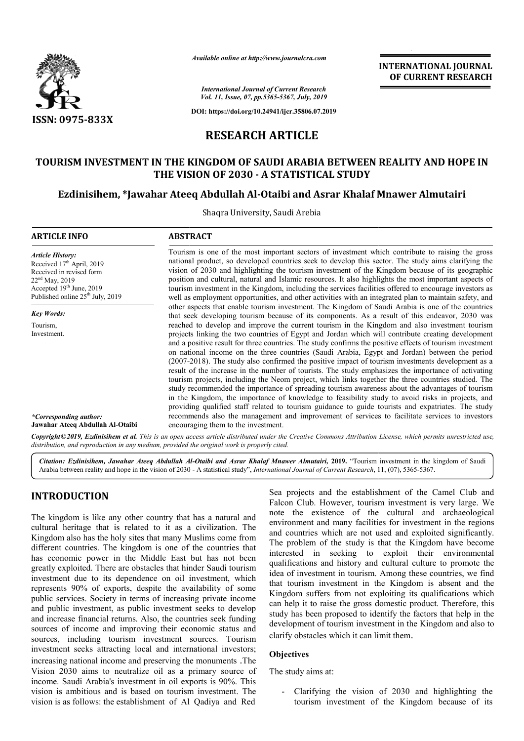

*Available online at http://www.journalcra.com*

# **INTERNATIONAL JOURNAL OF CURRENT RESEARCH**

# **RESEARCH ARTICLE**

# TOURISM INVESTMENT IN THE KINGDOM OF SAUDI ARABIA BETWEEN REALITY AND HOPE IN<br>THE VISION OF 2030 - A STATISTICAL STUDY<br>Ezdinisihem, \*Jawahar Ateeq Abdullah Al-Otaibi and Asrar Khalaf Mnawer Almutairi **THE VISION OF 2030 - A STATISTICAL STUDY**

# **Ezdinisihem, \*Jawahar Ateeq Abdullah Al-Otaibi and Asrar Khalaf Mnawer**

|                                                                                                                                                                                                                                                                                                                                                                                                                                                                                                                                                                                                                                                                                                                                                                                                                                                                                                                                                                                                                                                                                                                        | unuvic vinine ut mup.//www.jvurnutcru.com                                                                                                                                                                                                                                                                                                                                                                                                                                                                                                                                                                                                                                                                                                                                                                                                                                                                                                 | <b>INTERNATIONAL JOURNAL</b><br>OF CURRENT RESEARCH                                                                                                                                                                                                                                                                                                                                                                                                                                                                                                                                                                                                                                                                                                                                                                                                                         |                                                      |  |  |  |
|------------------------------------------------------------------------------------------------------------------------------------------------------------------------------------------------------------------------------------------------------------------------------------------------------------------------------------------------------------------------------------------------------------------------------------------------------------------------------------------------------------------------------------------------------------------------------------------------------------------------------------------------------------------------------------------------------------------------------------------------------------------------------------------------------------------------------------------------------------------------------------------------------------------------------------------------------------------------------------------------------------------------------------------------------------------------------------------------------------------------|-------------------------------------------------------------------------------------------------------------------------------------------------------------------------------------------------------------------------------------------------------------------------------------------------------------------------------------------------------------------------------------------------------------------------------------------------------------------------------------------------------------------------------------------------------------------------------------------------------------------------------------------------------------------------------------------------------------------------------------------------------------------------------------------------------------------------------------------------------------------------------------------------------------------------------------------|-----------------------------------------------------------------------------------------------------------------------------------------------------------------------------------------------------------------------------------------------------------------------------------------------------------------------------------------------------------------------------------------------------------------------------------------------------------------------------------------------------------------------------------------------------------------------------------------------------------------------------------------------------------------------------------------------------------------------------------------------------------------------------------------------------------------------------------------------------------------------------|------------------------------------------------------|--|--|--|
|                                                                                                                                                                                                                                                                                                                                                                                                                                                                                                                                                                                                                                                                                                                                                                                                                                                                                                                                                                                                                                                                                                                        | <b>International Journal of Current Research</b><br>Vol. 11, Issue, 07, pp.5365-5367, July, 2019                                                                                                                                                                                                                                                                                                                                                                                                                                                                                                                                                                                                                                                                                                                                                                                                                                          |                                                                                                                                                                                                                                                                                                                                                                                                                                                                                                                                                                                                                                                                                                                                                                                                                                                                             |                                                      |  |  |  |
| <b>ISSN: 0975-833X</b>                                                                                                                                                                                                                                                                                                                                                                                                                                                                                                                                                                                                                                                                                                                                                                                                                                                                                                                                                                                                                                                                                                 |                                                                                                                                                                                                                                                                                                                                                                                                                                                                                                                                                                                                                                                                                                                                                                                                                                                                                                                                           | DOI: https://doi.org/10.24941/ijcr.35806.07.2019                                                                                                                                                                                                                                                                                                                                                                                                                                                                                                                                                                                                                                                                                                                                                                                                                            |                                                      |  |  |  |
|                                                                                                                                                                                                                                                                                                                                                                                                                                                                                                                                                                                                                                                                                                                                                                                                                                                                                                                                                                                                                                                                                                                        | <b>RESEARCH ARTICLE</b>                                                                                                                                                                                                                                                                                                                                                                                                                                                                                                                                                                                                                                                                                                                                                                                                                                                                                                                   |                                                                                                                                                                                                                                                                                                                                                                                                                                                                                                                                                                                                                                                                                                                                                                                                                                                                             |                                                      |  |  |  |
|                                                                                                                                                                                                                                                                                                                                                                                                                                                                                                                                                                                                                                                                                                                                                                                                                                                                                                                                                                                                                                                                                                                        |                                                                                                                                                                                                                                                                                                                                                                                                                                                                                                                                                                                                                                                                                                                                                                                                                                                                                                                                           |                                                                                                                                                                                                                                                                                                                                                                                                                                                                                                                                                                                                                                                                                                                                                                                                                                                                             |                                                      |  |  |  |
|                                                                                                                                                                                                                                                                                                                                                                                                                                                                                                                                                                                                                                                                                                                                                                                                                                                                                                                                                                                                                                                                                                                        |                                                                                                                                                                                                                                                                                                                                                                                                                                                                                                                                                                                                                                                                                                                                                                                                                                                                                                                                           | TOURISM INVESTMENT IN THE KINGDOM OF SAUDI ARABIA BETWEEN REALITY AND HOPE IN<br>THE VISION OF 2030 - A STATISTICAL STUDY                                                                                                                                                                                                                                                                                                                                                                                                                                                                                                                                                                                                                                                                                                                                                   |                                                      |  |  |  |
|                                                                                                                                                                                                                                                                                                                                                                                                                                                                                                                                                                                                                                                                                                                                                                                                                                                                                                                                                                                                                                                                                                                        |                                                                                                                                                                                                                                                                                                                                                                                                                                                                                                                                                                                                                                                                                                                                                                                                                                                                                                                                           | Ezdinisihem, *Jawahar Ateeq Abdullah Al-Otaibi and Asrar Khalaf Mnawer Almutairi                                                                                                                                                                                                                                                                                                                                                                                                                                                                                                                                                                                                                                                                                                                                                                                            |                                                      |  |  |  |
|                                                                                                                                                                                                                                                                                                                                                                                                                                                                                                                                                                                                                                                                                                                                                                                                                                                                                                                                                                                                                                                                                                                        | Shaqra University, Saudi Arebia                                                                                                                                                                                                                                                                                                                                                                                                                                                                                                                                                                                                                                                                                                                                                                                                                                                                                                           |                                                                                                                                                                                                                                                                                                                                                                                                                                                                                                                                                                                                                                                                                                                                                                                                                                                                             |                                                      |  |  |  |
| <b>ARTICLE INFO</b>                                                                                                                                                                                                                                                                                                                                                                                                                                                                                                                                                                                                                                                                                                                                                                                                                                                                                                                                                                                                                                                                                                    | <b>ABSTRACT</b>                                                                                                                                                                                                                                                                                                                                                                                                                                                                                                                                                                                                                                                                                                                                                                                                                                                                                                                           |                                                                                                                                                                                                                                                                                                                                                                                                                                                                                                                                                                                                                                                                                                                                                                                                                                                                             |                                                      |  |  |  |
| <b>Article History:</b><br>Received 17th April, 2019<br>Received in revised form<br>22 <sup>nd</sup> May, 2019<br>Accepted 19th June, 2019<br>Published online 25 <sup>th</sup> July, 2019                                                                                                                                                                                                                                                                                                                                                                                                                                                                                                                                                                                                                                                                                                                                                                                                                                                                                                                             |                                                                                                                                                                                                                                                                                                                                                                                                                                                                                                                                                                                                                                                                                                                                                                                                                                                                                                                                           | Tourism is one of the most important sectors of investment which contribute to raising the gross<br>national product, so developed countries seek to develop this sector. The study aims clarifying the<br>vision of 2030 and highlighting the tourism investment of the Kingdom because of its geographic<br>position and cultural, natural and Islamic resources. It also highlights the most important aspects of<br>tourism investment in the Kingdom, including the services facilities offered to encourage investors as<br>well as employment opportunities, and other activities with an integrated plan to maintain safety, and                                                                                                                                                                                                                                    |                                                      |  |  |  |
| <b>Key Words:</b><br>Tourism,<br>Investment.                                                                                                                                                                                                                                                                                                                                                                                                                                                                                                                                                                                                                                                                                                                                                                                                                                                                                                                                                                                                                                                                           | other aspects that enable tourism investment. The Kingdom of Saudi Arabia is one of the countries<br>that seek developing tourism because of its components. As a result of this endeavor, 2030 was<br>reached to develop and improve the current tourism in the Kingdom and also investment tourism<br>projects linking the two countries of Egypt and Jordan which will contribute creating development<br>and a positive result for three countries. The study confirms the positive effects of tourism investment<br>on national income on the three countries (Saudi Arabia, Egypt and Jordan) between the period<br>(2007-2018). The study also confirmed the positive impact of tourism investments development as a<br>result of the increase in the number of tourists. The study emphasizes the importance of activating<br>tourism projects, including the Neom project, which links together the three countries studied. The |                                                                                                                                                                                                                                                                                                                                                                                                                                                                                                                                                                                                                                                                                                                                                                                                                                                                             |                                                      |  |  |  |
| *Corresponding author:<br>Jawahar Ateeq Abdullah Al-Otaibi                                                                                                                                                                                                                                                                                                                                                                                                                                                                                                                                                                                                                                                                                                                                                                                                                                                                                                                                                                                                                                                             | study recommended the importance of spreading tourism awareness about the advantages of tourism<br>in the Kingdom, the importance of knowledge to feasibility study to avoid risks in projects, and<br>providing qualified staff related to tourism guidance to guide tourists and expatriates. The study<br>recommends also the management and improvement of services to facilitate services to investors<br>encouraging them to the investment.<br>Copyright ©2019, Ezdinisihem et al. This is an open access article distributed under the Creative Commons Attribution License, which permits unrestricted use,<br>distribution, and reproduction in any medium, provided the original work is properly cited.                                                                                                                                                                                                                       |                                                                                                                                                                                                                                                                                                                                                                                                                                                                                                                                                                                                                                                                                                                                                                                                                                                                             |                                                      |  |  |  |
|                                                                                                                                                                                                                                                                                                                                                                                                                                                                                                                                                                                                                                                                                                                                                                                                                                                                                                                                                                                                                                                                                                                        |                                                                                                                                                                                                                                                                                                                                                                                                                                                                                                                                                                                                                                                                                                                                                                                                                                                                                                                                           | Citation: Ezdinisihem, Jawahar Ateeq Abdullah Al-Otaibi and Asrar Khalaf Mnawer Almutairi, 2019. "Tourism investment in the kingdom of Saudi<br>Arabia between reality and hope in the vision of 2030 - A statistical study", International Journal of Current Research, 11, (07), 5365-5367.                                                                                                                                                                                                                                                                                                                                                                                                                                                                                                                                                                               |                                                      |  |  |  |
| <b>INTRODUCTION</b>                                                                                                                                                                                                                                                                                                                                                                                                                                                                                                                                                                                                                                                                                                                                                                                                                                                                                                                                                                                                                                                                                                    |                                                                                                                                                                                                                                                                                                                                                                                                                                                                                                                                                                                                                                                                                                                                                                                                                                                                                                                                           | Sea projects and the establishment of the Camel Club and<br>Falcon Club. However, tourism investment is very large. We                                                                                                                                                                                                                                                                                                                                                                                                                                                                                                                                                                                                                                                                                                                                                      |                                                      |  |  |  |
| The kingdom is like any other country that has a natural and<br>cultural heritage that is related to it as a civilization. The<br>Kingdom also has the holy sites that many Muslims come from<br>different countries. The kingdom is one of the countries that<br>has economic power in the Middle East but has not been<br>greatly exploited. There are obstacles that hinder Saudi tourism<br>investment due to its dependence on oil investment, which<br>represents 90% of exports, despite the availability of some<br>public services. Society in terms of increasing private income<br>and public investment, as public investment seeks to develop<br>and increase financial returns. Also, the countries seek funding<br>sources of income and improving their economic status and<br>sources, including tourism investment sources. Tourism<br>investment seeks attracting local and international investors;<br>increasing national income and preserving the monuments . The<br>Vision 2030 aims to neutralize oil as a primary source of<br>income. Saudi Arabia's investment in oil exports is 90%. This |                                                                                                                                                                                                                                                                                                                                                                                                                                                                                                                                                                                                                                                                                                                                                                                                                                                                                                                                           | note the existence of the cultural and archaeological<br>environment and many facilities for investment in the regions<br>and countries which are not used and exploited significantly.<br>The problem of the study is that the Kingdom have become<br>interested in seeking to exploit their environmental<br>qualifications and history and cultural culture to promote the<br>idea of investment in tourism. Among these countries, we find<br>that tourism investment in the Kingdom is absent and the<br>Kingdom suffers from not exploiting its qualifications which<br>can help it to raise the gross domestic product. Therefore, this<br>study has been proposed to identify the factors that help in the<br>development of tourism investment in the Kingdom and also to<br>clarify obstacles which it can limit them.<br><b>Objectives</b><br>The study aims at: |                                                      |  |  |  |
| vision is ambitious and is based on tourism investment. The                                                                                                                                                                                                                                                                                                                                                                                                                                                                                                                                                                                                                                                                                                                                                                                                                                                                                                                                                                                                                                                            |                                                                                                                                                                                                                                                                                                                                                                                                                                                                                                                                                                                                                                                                                                                                                                                                                                                                                                                                           |                                                                                                                                                                                                                                                                                                                                                                                                                                                                                                                                                                                                                                                                                                                                                                                                                                                                             | - Clarifying the vision of 2030 and highlighting the |  |  |  |

# **INTRODUCTION**

The kingdom is like any other country that has a natural and cultural heritage that is related to it as a civilization. The Kingdom also has the holy sites that many Muslims come from different countries. The kingdom is one of the countries that has economic power in the Middle East but has not been greatly exploited. There are obstacles that hinder Saudi tourism investment due to its dependence on oil investment, which represents 90% of exports, despite the availability of some public services. Society in terms of increasing private income and public investment, as public investment seeks to develop and increase financial returns. Also, the countries seek sources of income and improving their economic status and sources, including tourism investment sources. Tourism investment seeks attracting local and international investors; increasing national income and preserving the monuments .The Vision 2030 aims to neutralize oil as a primary source of income. Saudi Arabia's investment in oil exports is 90%. This vision is ambitious and is based on tourism investment. The vision is as follows: the establishment of Al Qadiya and Red ic power in the Middle East but has not been<br>bited. There are obstacles that hinder Saudi tourism<br>due to its dependence on oil investment, which<br>0% of exports, despite the availability of some<br>ces. Society in terms of incr

#### **Objectives**

- Clarifying the vision of 2030 and highlighting the tourism investment of the Kingdom because of its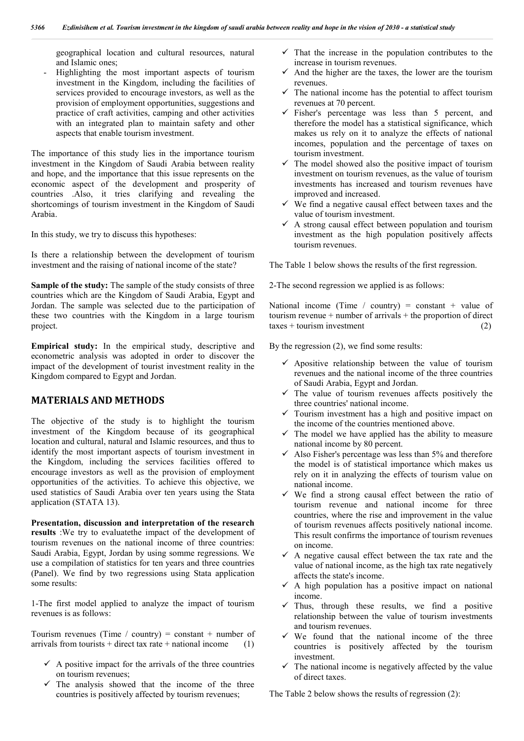geographical location and cultural resources, natural and Islamic ones;

- Highlighting the most important aspects of tourism investment in the Kingdom, including the facilities of services provided to encourage investors, as well as the provision of employment opportunities, suggestions and practice of craft activities, camping and other activities with an integrated plan to maintain safety and other aspects that enable tourism investment.

The importance of this study lies in the importance tourism investment in the Kingdom of Saudi Arabia between reality and hope, and the importance that this issue represents on the economic aspect of the development and prosperity of countries .Also, it tries clarifying and revealing the shortcomings of tourism investment in the Kingdom of Saudi Arabia.

In this study, we try to discuss this hypotheses:

Is there a relationship between the development of tourism investment and the raising of national income of the state?

**Sample of the study:** The sample of the study consists of three countries which are the Kingdom of Saudi Arabia, Egypt and Jordan. The sample was selected due to the participation of these two countries with the Kingdom in a large tourism project.

**Empirical study:** In the empirical study, descriptive and econometric analysis was adopted in order to discover the impact of the development of tourist investment reality in the Kingdom compared to Egypt and Jordan.

# **MATERIALS AND METHODS**

The objective of the study is to highlight the tourism investment of the Kingdom because of its geographical location and cultural, natural and Islamic resources, and thus to identify the most important aspects of tourism investment in the Kingdom, including the services facilities offered to encourage investors as well as the provision of employment opportunities of the activities. To achieve this objective, we used statistics of Saudi Arabia over ten years using the Stata application (STATA 13).

**Presentation, discussion and interpretation of the research results** :We try to evaluatethe impact of the development of tourism revenues on the national income of three countries: Saudi Arabia, Egypt, Jordan by using somme regressions. We use a compilation of statistics for ten years and three countries (Panel). We find by two regressions using Stata application some results:

1-The first model applied to analyze the impact of tourism revenues is as follows:

Tourism revenues (Time / country) = constant + number of arrivals from tourists + direct tax rate + national income  $(1)$ 

- $\checkmark$  A positive impact for the arrivals of the three countries on tourism revenues;
- $\checkmark$  The analysis showed that the income of the three countries is positively affected by tourism revenues;
- $\checkmark$  That the increase in the population contributes to the increase in tourism revenues.
- $\checkmark$  And the higher are the taxes, the lower are the tourism revenues.
- $\checkmark$  The national income has the potential to affect tourism revenues at 70 percent.
- $\checkmark$  Fisher's percentage was less than 5 percent, and therefore the model has a statistical significance, which makes us rely on it to analyze the effects of national incomes, population and the percentage of taxes on tourism investment.
- $\checkmark$  The model showed also the positive impact of tourism investment on tourism revenues, as the value of tourism investments has increased and tourism revenues have improved and increased.
- $\checkmark$  We find a negative causal effect between taxes and the value of tourism investment.
- $\checkmark$  A strong causal effect between population and tourism investment as the high population positively affects tourism revenues.

The Table 1 below shows the results of the first regression.

2-The second regression we applied is as follows:

National income (Time / country) = constant + value of tourism revenue + number of arrivals + the proportion of direct  $taxes + tourism investment$  (2)

By the regression (2), we find some results:

- $\checkmark$  Apositive relationship between the value of tourism revenues and the national income of the three countries of Saudi Arabia, Egypt and Jordan.
- $\checkmark$  The value of tourism revenues affects positively the three countries' national income.
- $\checkmark$  Tourism investment has a high and positive impact on the income of the countries mentioned above.
- $\checkmark$  The model we have applied has the ability to measure national income by 80 percent.
- $\checkmark$  Also Fisher's percentage was less than 5% and therefore the model is of statistical importance which makes us rely on it in analyzing the effects of tourism value on national income.
- $\checkmark$  We find a strong causal effect between the ratio of tourism revenue and national income for three countries, where the rise and improvement in the value of tourism revenues affects positively national income. This result confirms the importance of tourism revenues on income.
- $\checkmark$  A negative causal effect between the tax rate and the value of national income, as the high tax rate negatively affects the state's income.
- $\checkmark$  A high population has a positive impact on national income.
- $\checkmark$  Thus, through these results, we find a positive relationship between the value of tourism investments and tourism revenues.
- $\checkmark$  We found that the national income of the three countries is positively affected by the tourism investment.
- $\checkmark$  The national income is negatively affected by the value of direct taxes.

The Table 2 below shows the results of regression (2):